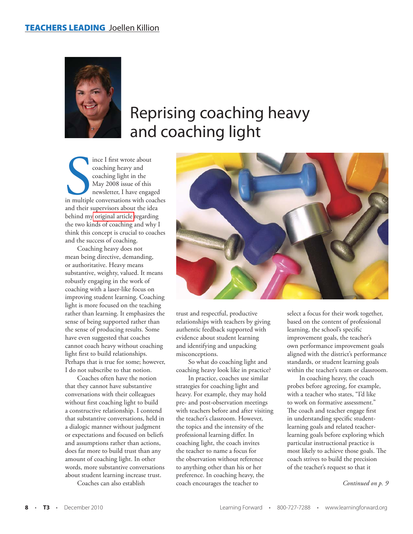

## Reprising coaching heavy and coaching light

Since I first wrote about<br>
coaching heavy and<br>
coaching light in the<br>
May 2008 issue of this<br>
newsletter, I have engaged<br>
in multiple conversations with coaches<br>
and their aunomients about the idea ince I first wrote about coaching heavy and coaching light in the May 2008 issue of this newsletter, I have engaged and their supervisors about the idea behind m[y original article r](www.learningforward.org/news/articleDetails.cfm?articleID=1694)egarding the two kinds of coaching and why I think this concept is crucial to coaches and the success of coaching.

Coaching heavy does not mean being directive, demanding, or authoritative. Heavy means substantive, weighty, valued. It means robustly engaging in the work of coaching with a laser-like focus on improving student learning. Coaching light is more focused on the teaching rather than learning. It emphasizes the sense of being supported rather than the sense of producing results. Some have even suggested that coaches cannot coach heavy without coaching light first to build relationships. Perhaps that is true for some; however, I do not subscribe to that notion.

Coaches often have the notion that they cannot have substantive conversations with their colleagues without first coaching light to build a constructive relationship. I contend that substantive conversations, held in a dialogic manner without judgment or expectations and focused on beliefs and assumptions rather than actions, does far more to build trust than any amount of coaching light. In other words, more substantive conversations about student learning increase trust.

Coaches can also establish



trust and respectful, productive relationships with teachers by giving authentic feedback supported with evidence about student learning and identifying and unpacking misconceptions.

So what do coaching light and coaching heavy look like in practice?

In practice, coaches use similar strategies for coaching light and heavy. For example, they may hold pre- and post-observation meetings with teachers before and after visiting the teacher's classroom. However, the topics and the intensity of the professional learning differ. In coaching light, the coach invites the teacher to name a focus for the observation without reference to anything other than his or her preference. In coaching heavy, the coach encourages the teacher to

select a focus for their work together, based on the content of professional learning, the school's specific improvement goals, the teacher's own performance improvement goals aligned with the district's performance standards, or student learning goals within the teacher's team or classroom.

In coaching heavy, the coach probes before agreeing, for example, with a teacher who states, "I'd like to work on formative assessment." The coach and teacher engage first in understanding specific studentlearning goals and related teacherlearning goals before exploring which particular instructional practice is most likely to achieve those goals. The coach strives to build the precision of the teacher's request so that it

*Continued on p. 9*